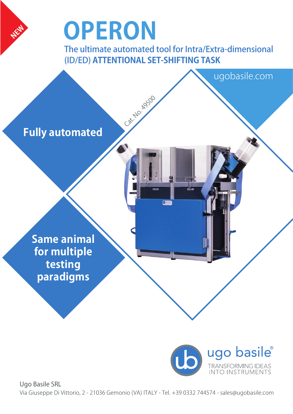

The ultimate automated tool for Intra/Extra-dimensional (ID/ED) **ATTENTIONAL SET-SHIFTING TASK**

Cat. No. 1950

**Fully automated**

**NEW**

**Same animal for multiple testing paradigms**



ugobasile.com

Ugo Basile SRL Via Giuseppe Di Vittorio, 2 - 21036 Gemonio (VA) ITALY - Tel. +39 0332 744574 - sales@ugobasile.com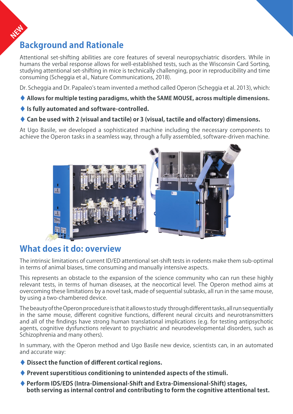# **NEW Background and Rationale**

Attentional set-shifting abilities are core features of several neuropsychiatric disorders. While in humans the verbal response allows for well-established tests, such as the Wisconsin Card Sorting, studying attentional set-shifting in mice is technically challenging, poor in reproducibility and time consuming (Scheggia et al., Nature Communications, 2018).

Dr. Scheggia and Dr. Papaleo's team invented a method called Operon (Scheggia et al. 2013), which:

- **♦ Allows for multiple testing paradigms, whith the SAME MOUSE, across multiple dimensions.**
- **♦ Is fully automated and software-controlled.**
- **♦ Can be used with 2 (visual and tactile) or 3 (visual, tactile and olfactory) dimensions.**

At Ugo Basile, we developed a sophisticated machine including the necessary components to achieve the Operon tasks in a seamless way, through a fully assembled, software-driven machine.



#### **What does it do: overview**

The intrinsic limitations of current ID/ED attentional set-shift tests in rodents make them sub-optimal in terms of animal biases, time consuming and manually intensive aspects.

This represents an obstacle to the expansion of the science community who can run these highly relevant tests, in terms of human diseases, at the neocortical level. The Operon method aims at overcoming these limitations by a novel task, made of sequential subtasks, all run in the same mouse, by using a two-chambered device.

The beauty of the Operon procedure is that it allows to study through different tasks, all run sequentially in the same mouse, different cognitive functions, different neural circuits and neurotransmitters and all of the findings have strong human translational implications (e.g. for testing antipsychotic agents, cognitive dysfunctions relevant to psychiatric and neurodevelopmental disorders, such as Schizophrenia and many others).

In summary, with the Operon method and Ugo Basile new device, scientists can, in an automated and accurate way:

- **♦ Dissect the function of different cortical regions.**
- **♦ Prevent superstitious conditioning to unintended aspects of the stimuli.**
- **♦ Perform IDS/EDS (Intra-Dimensional-Shift and Extra-Dimensional-Shift) stages, both serving as internal control and contributing to form the cognitive attentional test.**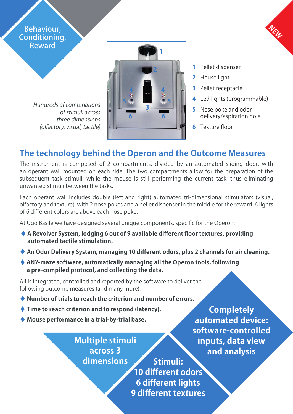Behaviour, Conditioning, Reward

> Hundreds of combinations of stimuli across three dimensions (olfactory, visual, tactile)



- **1** Pellet dispenser
- **2** House light
- **3** Pellet receptacle
- **4** Led lights (programmable)

**NEW**

- **5** Nose poke and odor delivery/aspiration hole
- **6** Texture floor

# **The technology behind the Operon and the Outcome Measures**

The instrument is composed of 2 compartments, divided by an automated sliding door, with an operant wall mounted on each side. The two compartments allow for the preparation of the subsequent task stimuli, while the mouse is still performing the current task, thus eliminating unwanted stimuli between the tasks.

Each operant wall includes double (left and right) automated tri-dimensional stimulators (visual, olfactory and texture), with 2 nose pokes and a pellet dispenser in the middle for the reward. 6 lights of 6 different colors are above each nose poke.

At Ugo Basile we have designed several unique components, specific for the Operon:

- **♦ A Revolver System, lodging 6 out of 9 available different floor textures, providing automated tactile stimulation.**
- **♦ An Odor Delivery System, managing 10 different odors, plus 2 channels for air cleaning.**
- **♦ ANY-maze software, automatically managing all the Operon tools, following a pre-compiled protocol, and collecting the data.**

All is integrated, controlled and reported by the software to deliver the following outcome measures (and many more):

- **♦ Number of trials to reach the criterion and number of errors.**
- **♦ Time to reach criterion and to respond (latency).**
- **♦ Mouse performance in a trial-by-trial base.**

**Multiple stimuli across 3 dimensions**

**Stimuli: 10 different odors 6 different lights 9 different textures**

**Completely automated device: software-controlled inputs, data view and analysis**